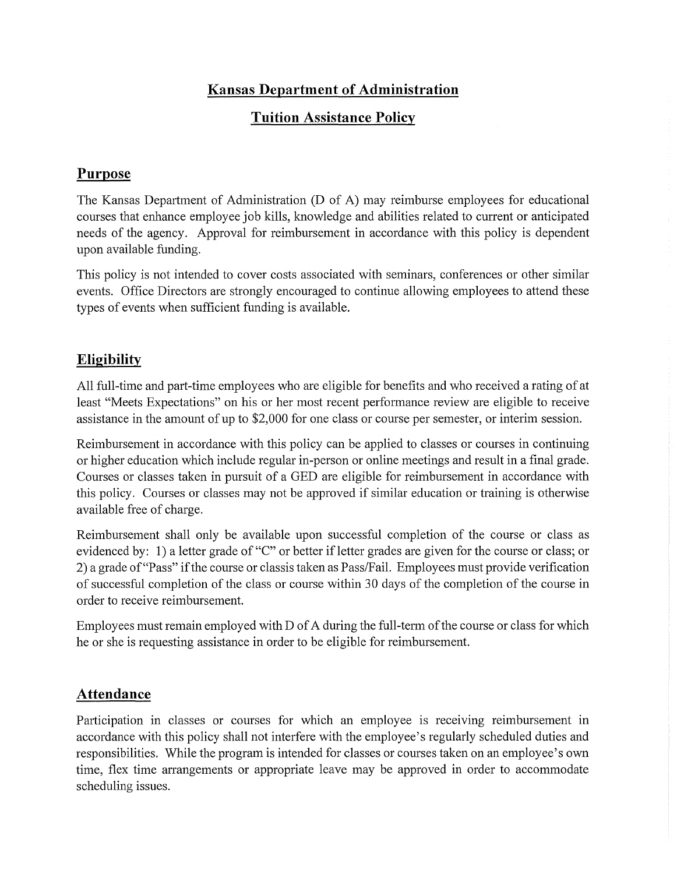# **Kansas Department of Administration**

### **Tuition Assistance Policy**

#### **Purpose**

The Kansas Department of Administration CD of A) may reimburse employees for educational courses that enhance employee job kills, knowledge and abilities related to cunent or anticipated needs of the agency. Approval for reimbursement in accordance with this policy is dependent upon available funding.

This policy is not intended to cover costs associated with seminars, conferences or other similar events. Office Directors are strongly encouraged to continue allowing employees to attend these types of events when sufficient funding is available.

## **Eligibility**

All full-time and part-time employees who are eligible for benefits and who received a rating of at least "Meets Expectations" on his or her most recent performance review are eligible to receive assistance in the amount of up to \$2,000 for one class or course per semester, or interim session.

Reimbursement in accordance with this policy can be applied to classes or courses in continuing or higher education which include regular in-person or online meetings and result in a final grade. Courses or classes taken in pursuit of a GED are eligible for reimbursement in accordance with this policy. Courses or classes may not be approved if similar education or training is otherwise available free of charge.

Reimbursement shall only be available upon successful completion of the course or class as evidenced by: 1) a letter grade of "C" or better if letter grades are given for the course or class; or 2) a grade of "Pass" ifthe course or classis taken as PasslFail. Employees must provide verification of successful completion of the class or course within 30 days of the completion of the course in order to receive reimbursement.

Employees must remain employed with D of A during the full-term of the course or class for which he or she is requesting assistance in order to be eligible for reimbursement.

## **Attendance**

Participation in classes or courses for which an employee is receiving reimbursement in accordance with this policy shall not interfere with the employee's regularly scheduled duties and responsibilities. While the program is intended for classes or courses taken on an employee's own time, flex time arrangements or appropriate leave may be approved in order to accommodate scheduling issues.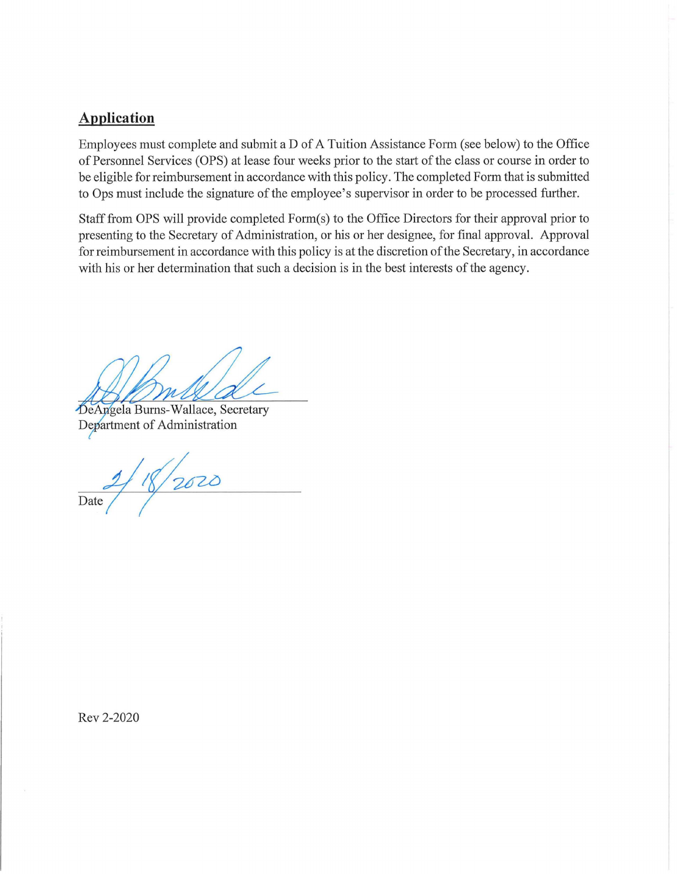### **Application**

Employees must complete and submit a D of A Tuition Assistance Form (see below) to the Office of Personnel Services (OPS) at lease four weeks prior to the start of the class or course in order to be eligible for reimbursement in accordance with this policy. The completed Form that is submitted to Ops must include the signature of the employee's supervisor in order to be processed further.

Staff from OPS will provide completed Form(s) to the Office Directors for their approval prior to presenting to the Secretary of Administration, or his or her designee, for final approval. Approval for reimbursement in accordance with this policy is at the discretion of the Secretary, in accordance with his or her determination that such a decision is in the best interests of the agency.

DeAngela Burns-Wallace, Secretary Department of Administration

 $2/18/2020$  $\overline{Date}$ 

Rev 2-2020